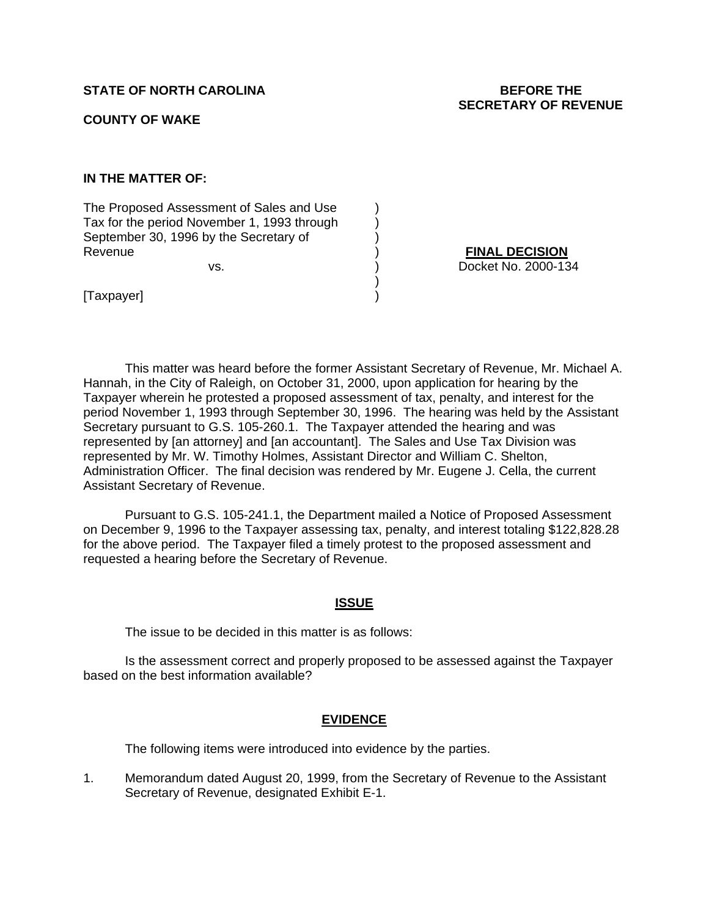# **STATE OF NORTH CAROLINA BEFORE THE**

#### **COUNTY OF WAKE**

**IN THE MATTER OF:** 

The Proposed Assessment of Sales and Use ) Tax for the period November 1, 1993 through ) September 30, 1996 by the Secretary of (1) Revenue ) **FINAL DECISION**

 $)$ 

vs. ) Docket No. 2000-134

[Taxpayer] )

This matter was heard before the former Assistant Secretary of Revenue, Mr. Michael A. Hannah, in the City of Raleigh, on October 31, 2000, upon application for hearing by the Taxpayer wherein he protested a proposed assessment of tax, penalty, and interest for the period November 1, 1993 through September 30, 1996. The hearing was held by the Assistant Secretary pursuant to G.S. 105-260.1. The Taxpayer attended the hearing and was represented by [an attorney] and [an accountant]. The Sales and Use Tax Division was represented by Mr. W. Timothy Holmes, Assistant Director and William C. Shelton, Administration Officer. The final decision was rendered by Mr. Eugene J. Cella, the current Assistant Secretary of Revenue.

Pursuant to G.S. 105-241.1, the Department mailed a Notice of Proposed Assessment on December 9, 1996 to the Taxpayer assessing tax, penalty, and interest totaling \$122,828.28 for the above period. The Taxpayer filed a timely protest to the proposed assessment and requested a hearing before the Secretary of Revenue.

### **ISSUE**

The issue to be decided in this matter is as follows:

Is the assessment correct and properly proposed to be assessed against the Taxpayer based on the best information available?

### **EVIDENCE**

The following items were introduced into evidence by the parties.

1. Memorandum dated August 20, 1999, from the Secretary of Revenue to the Assistant Secretary of Revenue, designated Exhibit E-1.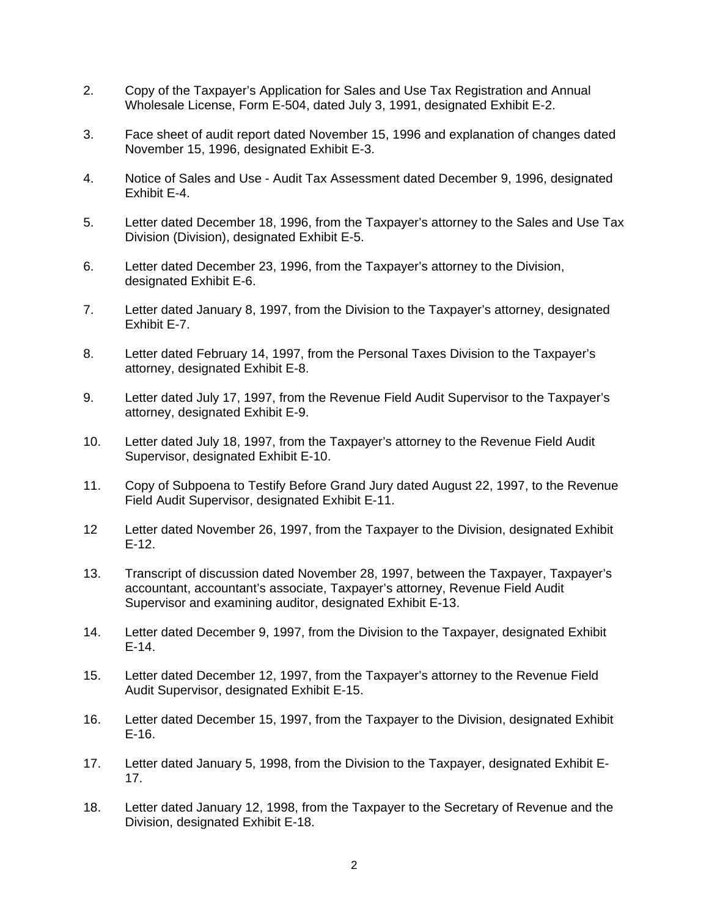- 2. Copy of the Taxpayer's Application for Sales and Use Tax Registration and Annual Wholesale License, Form E-504, dated July 3, 1991, designated Exhibit E-2.
- 3. Face sheet of audit report dated November 15, 1996 and explanation of changes dated November 15, 1996, designated Exhibit E-3.
- 4. Notice of Sales and Use Audit Tax Assessment dated December 9, 1996, designated Exhibit E-4.
- 5. Letter dated December 18, 1996, from the Taxpayer's attorney to the Sales and Use Tax Division (Division), designated Exhibit E-5.
- 6. Letter dated December 23, 1996, from the Taxpayer's attorney to the Division, designated Exhibit E-6.
- 7. Letter dated January 8, 1997, from the Division to the Taxpayer's attorney, designated Exhibit E-7.
- 8. Letter dated February 14, 1997, from the Personal Taxes Division to the Taxpayer's attorney, designated Exhibit E-8.
- 9. Letter dated July 17, 1997, from the Revenue Field Audit Supervisor to the Taxpayer's attorney, designated Exhibit E-9.
- 10. Letter dated July 18, 1997, from the Taxpayer's attorney to the Revenue Field Audit Supervisor, designated Exhibit E-10.
- 11. Copy of Subpoena to Testify Before Grand Jury dated August 22, 1997, to the Revenue Field Audit Supervisor, designated Exhibit E-11.
- 12 Letter dated November 26, 1997, from the Taxpayer to the Division, designated Exhibit E-12.
- 13. Transcript of discussion dated November 28, 1997, between the Taxpayer, Taxpayer's accountant, accountant's associate, Taxpayer's attorney, Revenue Field Audit Supervisor and examining auditor, designated Exhibit E-13.
- 14. Letter dated December 9, 1997, from the Division to the Taxpayer, designated Exhibit E-14.
- 15. Letter dated December 12, 1997, from the Taxpayer's attorney to the Revenue Field Audit Supervisor, designated Exhibit E-15.
- 16. Letter dated December 15, 1997, from the Taxpayer to the Division, designated Exhibit E-16.
- 17. Letter dated January 5, 1998, from the Division to the Taxpayer, designated Exhibit E-17.
- 18. Letter dated January 12, 1998, from the Taxpayer to the Secretary of Revenue and the Division, designated Exhibit E-18.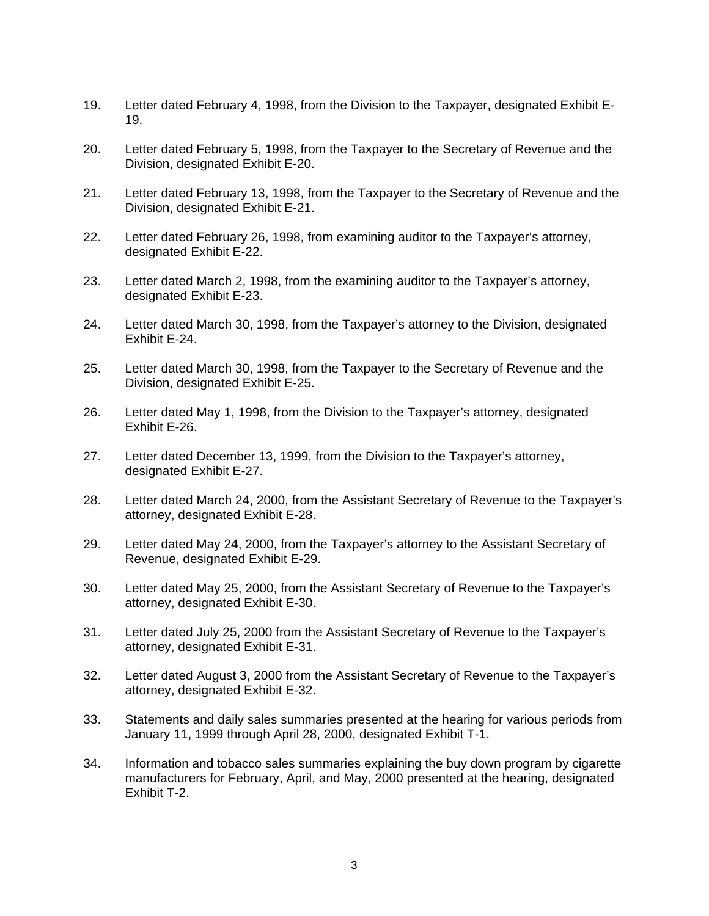- 19. Letter dated February 4, 1998, from the Division to the Taxpayer, designated Exhibit E-19.
- 20. Letter dated February 5, 1998, from the Taxpayer to the Secretary of Revenue and the Division, designated Exhibit E-20.
- 21. Letter dated February 13, 1998, from the Taxpayer to the Secretary of Revenue and the Division, designated Exhibit E-21.
- 22. Letter dated February 26, 1998, from examining auditor to the Taxpayer's attorney, designated Exhibit E-22.
- 23. Letter dated March 2, 1998, from the examining auditor to the Taxpayer's attorney, designated Exhibit E-23.
- 24. Letter dated March 30, 1998, from the Taxpayer's attorney to the Division, designated Exhibit E-24.
- 25. Letter dated March 30, 1998, from the Taxpayer to the Secretary of Revenue and the Division, designated Exhibit E-25.
- 26. Letter dated May 1, 1998, from the Division to the Taxpayer's attorney, designated Exhibit E-26.
- 27. Letter dated December 13, 1999, from the Division to the Taxpayer's attorney, designated Exhibit E-27.
- 28. Letter dated March 24, 2000, from the Assistant Secretary of Revenue to the Taxpayer's attorney, designated Exhibit E-28.
- 29. Letter dated May 24, 2000, from the Taxpayer's attorney to the Assistant Secretary of Revenue, designated Exhibit E-29.
- 30. Letter dated May 25, 2000, from the Assistant Secretary of Revenue to the Taxpayer's attorney, designated Exhibit E-30.
- 31. Letter dated July 25, 2000 from the Assistant Secretary of Revenue to the Taxpayer's attorney, designated Exhibit E-31.
- 32. Letter dated August 3, 2000 from the Assistant Secretary of Revenue to the Taxpayer's attorney, designated Exhibit E-32.
- 33. Statements and daily sales summaries presented at the hearing for various periods from January 11, 1999 through April 28, 2000, designated Exhibit T-1.
- 34. Information and tobacco sales summaries explaining the buy down program by cigarette manufacturers for February, April, and May, 2000 presented at the hearing, designated Exhibit T-2.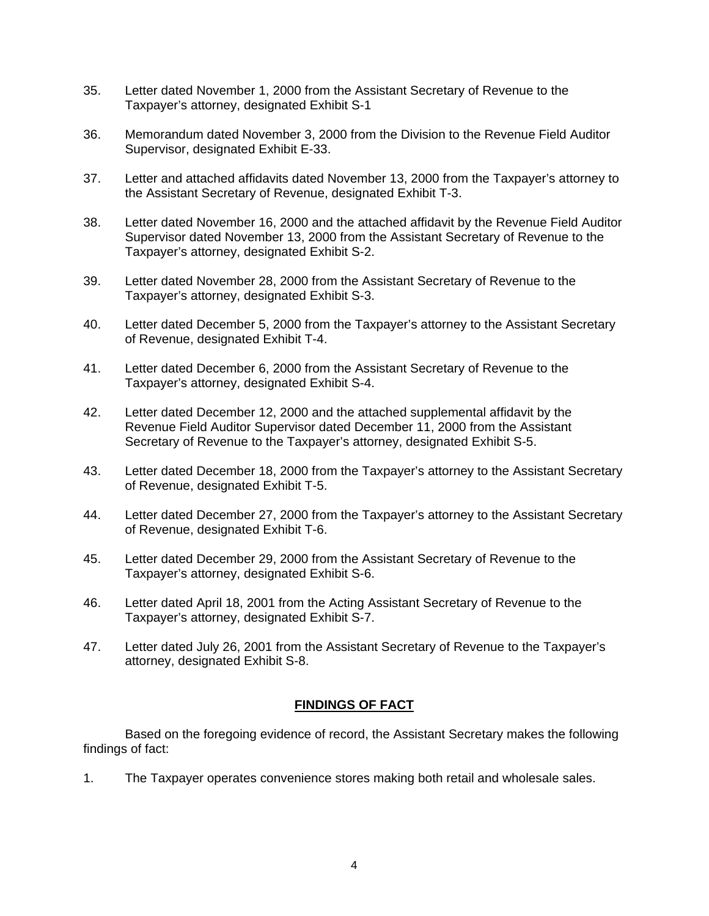- 35. Letter dated November 1, 2000 from the Assistant Secretary of Revenue to the Taxpayer's attorney, designated Exhibit S-1
- 36. Memorandum dated November 3, 2000 from the Division to the Revenue Field Auditor Supervisor, designated Exhibit E-33.
- 37. Letter and attached affidavits dated November 13, 2000 from the Taxpayer's attorney to the Assistant Secretary of Revenue, designated Exhibit T-3.
- 38. Letter dated November 16, 2000 and the attached affidavit by the Revenue Field Auditor Supervisor dated November 13, 2000 from the Assistant Secretary of Revenue to the Taxpayer's attorney, designated Exhibit S-2.
- 39. Letter dated November 28, 2000 from the Assistant Secretary of Revenue to the Taxpayer's attorney, designated Exhibit S-3.
- 40. Letter dated December 5, 2000 from the Taxpayer's attorney to the Assistant Secretary of Revenue, designated Exhibit T-4.
- 41. Letter dated December 6, 2000 from the Assistant Secretary of Revenue to the Taxpayer's attorney, designated Exhibit S-4.
- 42. Letter dated December 12, 2000 and the attached supplemental affidavit by the Revenue Field Auditor Supervisor dated December 11, 2000 from the Assistant Secretary of Revenue to the Taxpayer's attorney, designated Exhibit S-5.
- 43. Letter dated December 18, 2000 from the Taxpayer's attorney to the Assistant Secretary of Revenue, designated Exhibit T-5.
- 44. Letter dated December 27, 2000 from the Taxpayer's attorney to the Assistant Secretary of Revenue, designated Exhibit T-6.
- 45. Letter dated December 29, 2000 from the Assistant Secretary of Revenue to the Taxpayer's attorney, designated Exhibit S-6.
- 46. Letter dated April 18, 2001 from the Acting Assistant Secretary of Revenue to the Taxpayer's attorney, designated Exhibit S-7.
- 47. Letter dated July 26, 2001 from the Assistant Secretary of Revenue to the Taxpayer's attorney, designated Exhibit S-8.

# **FINDINGS OF FACT**

Based on the foregoing evidence of record, the Assistant Secretary makes the following findings of fact:

1. The Taxpayer operates convenience stores making both retail and wholesale sales.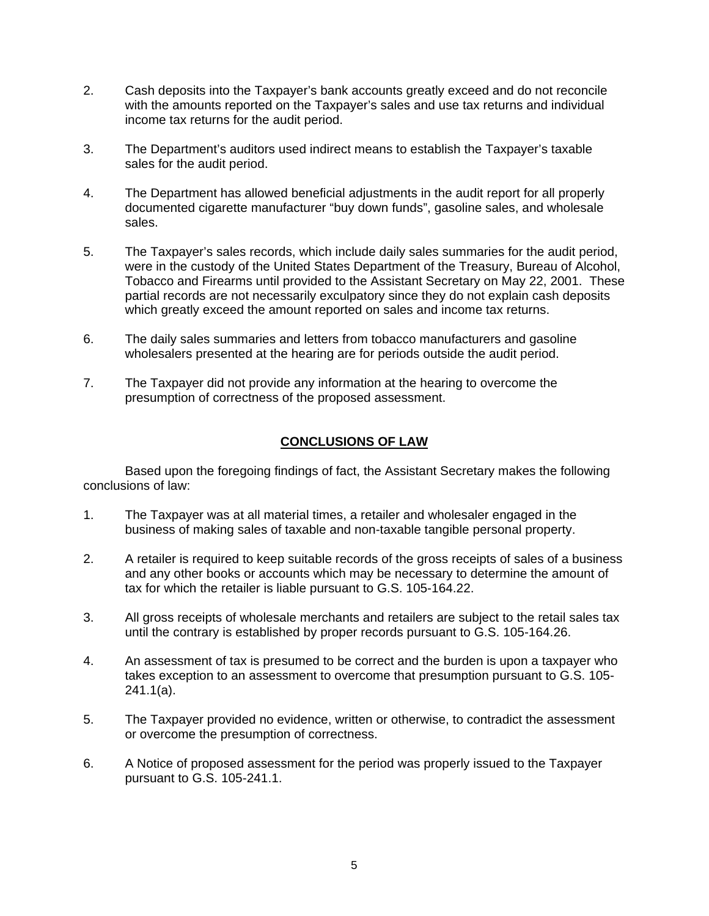- 2. Cash deposits into the Taxpayer's bank accounts greatly exceed and do not reconcile with the amounts reported on the Taxpayer's sales and use tax returns and individual income tax returns for the audit period.
- 3. The Department's auditors used indirect means to establish the Taxpayer's taxable sales for the audit period.
- 4. The Department has allowed beneficial adjustments in the audit report for all properly documented cigarette manufacturer "buy down funds", gasoline sales, and wholesale sales.
- 5. The Taxpayer's sales records, which include daily sales summaries for the audit period, were in the custody of the United States Department of the Treasury, Bureau of Alcohol, Tobacco and Firearms until provided to the Assistant Secretary on May 22, 2001. These partial records are not necessarily exculpatory since they do not explain cash deposits which greatly exceed the amount reported on sales and income tax returns.
- 6. The daily sales summaries and letters from tobacco manufacturers and gasoline wholesalers presented at the hearing are for periods outside the audit period.
- 7. The Taxpayer did not provide any information at the hearing to overcome the presumption of correctness of the proposed assessment.

# **CONCLUSIONS OF LAW**

Based upon the foregoing findings of fact, the Assistant Secretary makes the following conclusions of law:

- 1. The Taxpayer was at all material times, a retailer and wholesaler engaged in the business of making sales of taxable and non-taxable tangible personal property.
- 2. A retailer is required to keep suitable records of the gross receipts of sales of a business and any other books or accounts which may be necessary to determine the amount of tax for which the retailer is liable pursuant to G.S. 105-164.22.
- 3. All gross receipts of wholesale merchants and retailers are subject to the retail sales tax until the contrary is established by proper records pursuant to G.S. 105-164.26.
- 4. An assessment of tax is presumed to be correct and the burden is upon a taxpayer who takes exception to an assessment to overcome that presumption pursuant to G.S. 105- 241.1(a).
- 5. The Taxpayer provided no evidence, written or otherwise, to contradict the assessment or overcome the presumption of correctness.
- 6. A Notice of proposed assessment for the period was properly issued to the Taxpayer pursuant to G.S. 105-241.1.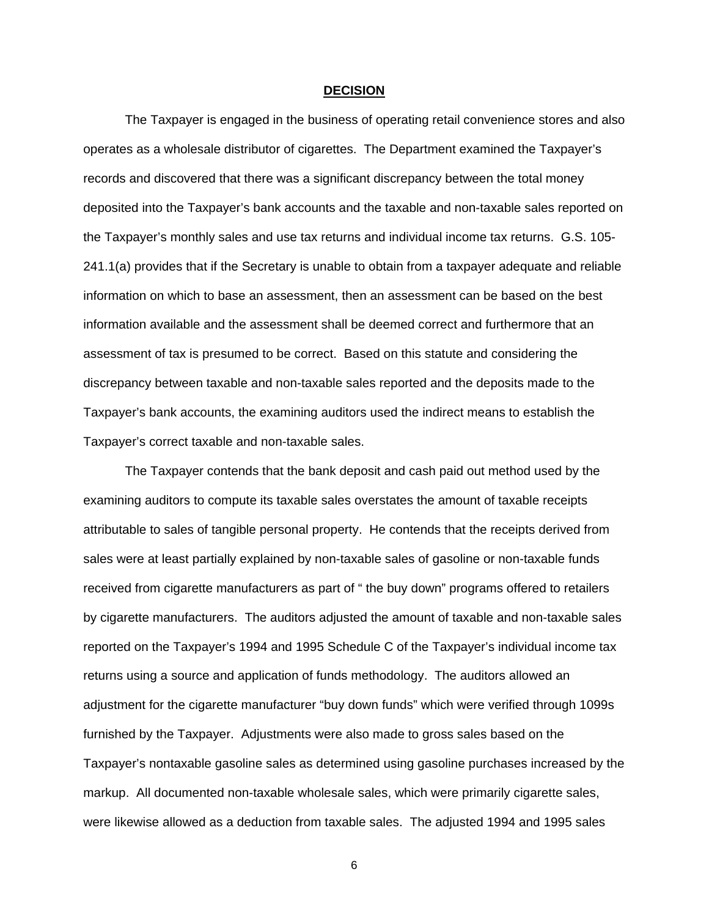#### **DECISION**

The Taxpayer is engaged in the business of operating retail convenience stores and also operates as a wholesale distributor of cigarettes. The Department examined the Taxpayer's records and discovered that there was a significant discrepancy between the total money deposited into the Taxpayer's bank accounts and the taxable and non-taxable sales reported on the Taxpayer's monthly sales and use tax returns and individual income tax returns. G.S. 105- 241.1(a) provides that if the Secretary is unable to obtain from a taxpayer adequate and reliable information on which to base an assessment, then an assessment can be based on the best information available and the assessment shall be deemed correct and furthermore that an assessment of tax is presumed to be correct. Based on this statute and considering the discrepancy between taxable and non-taxable sales reported and the deposits made to the Taxpayer's bank accounts, the examining auditors used the indirect means to establish the Taxpayer's correct taxable and non-taxable sales.

The Taxpayer contends that the bank deposit and cash paid out method used by the examining auditors to compute its taxable sales overstates the amount of taxable receipts attributable to sales of tangible personal property. He contends that the receipts derived from sales were at least partially explained by non-taxable sales of gasoline or non-taxable funds received from cigarette manufacturers as part of " the buy down" programs offered to retailers by cigarette manufacturers. The auditors adjusted the amount of taxable and non-taxable sales reported on the Taxpayer's 1994 and 1995 Schedule C of the Taxpayer's individual income tax returns using a source and application of funds methodology. The auditors allowed an adjustment for the cigarette manufacturer "buy down funds" which were verified through 1099s furnished by the Taxpayer. Adjustments were also made to gross sales based on the Taxpayer's nontaxable gasoline sales as determined using gasoline purchases increased by the markup. All documented non-taxable wholesale sales, which were primarily cigarette sales, were likewise allowed as a deduction from taxable sales. The adjusted 1994 and 1995 sales

6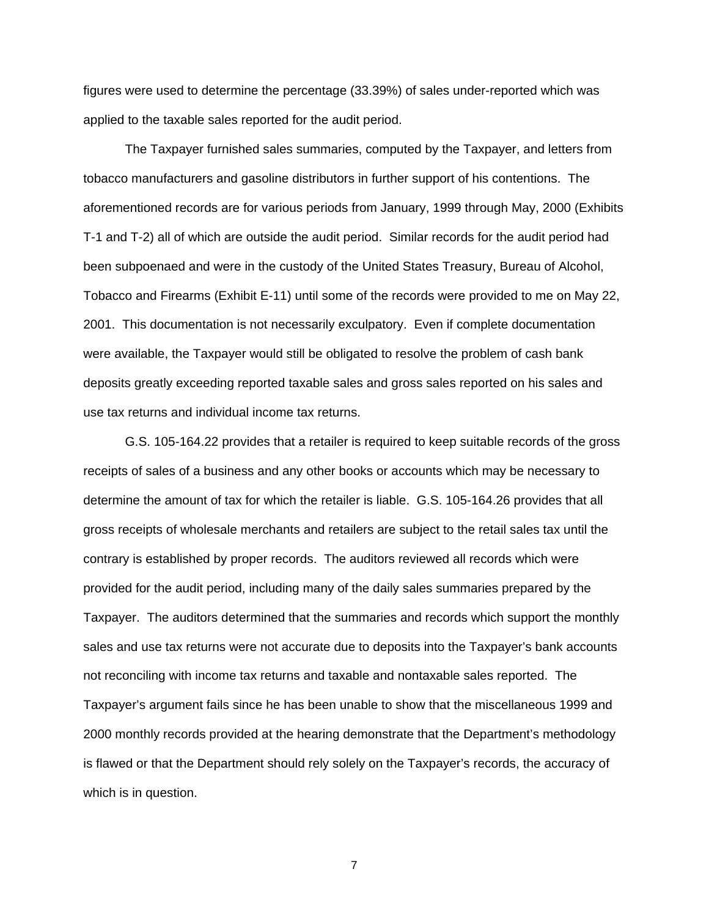figures were used to determine the percentage (33.39%) of sales under-reported which was applied to the taxable sales reported for the audit period.

The Taxpayer furnished sales summaries, computed by the Taxpayer, and letters from tobacco manufacturers and gasoline distributors in further support of his contentions. The aforementioned records are for various periods from January, 1999 through May, 2000 (Exhibits T-1 and T-2) all of which are outside the audit period. Similar records for the audit period had been subpoenaed and were in the custody of the United States Treasury, Bureau of Alcohol, Tobacco and Firearms (Exhibit E-11) until some of the records were provided to me on May 22, 2001. This documentation is not necessarily exculpatory. Even if complete documentation were available, the Taxpayer would still be obligated to resolve the problem of cash bank deposits greatly exceeding reported taxable sales and gross sales reported on his sales and use tax returns and individual income tax returns.

G.S. 105-164.22 provides that a retailer is required to keep suitable records of the gross receipts of sales of a business and any other books or accounts which may be necessary to determine the amount of tax for which the retailer is liable. G.S. 105-164.26 provides that all gross receipts of wholesale merchants and retailers are subject to the retail sales tax until the contrary is established by proper records. The auditors reviewed all records which were provided for the audit period, including many of the daily sales summaries prepared by the Taxpayer. The auditors determined that the summaries and records which support the monthly sales and use tax returns were not accurate due to deposits into the Taxpayer's bank accounts not reconciling with income tax returns and taxable and nontaxable sales reported. The Taxpayer's argument fails since he has been unable to show that the miscellaneous 1999 and 2000 monthly records provided at the hearing demonstrate that the Department's methodology is flawed or that the Department should rely solely on the Taxpayer's records, the accuracy of which is in question.

7